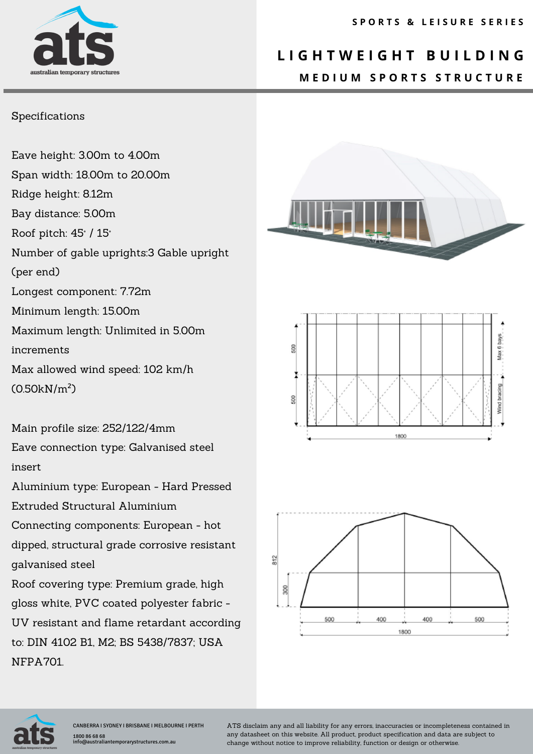# australian temporary

### **L I G H T W E I G H T B U I L D I N G M E D I U M S P O R T S S T R U C T U R E**

#### Specifications

Eave height: 3.00m to 4.00m Span width: 18.00m to 20.00m Ridge height: 8.12m Bay distance: 5.00m Roof pitch: 45° / 15° Number of gable uprights:3 Gable upright (per end) Longest component: 7.72m Minimum length: 15.00m Maximum length: Unlimited in 5.00m increments Max allowed wind speed: 102 km/h (0.50kN/m²)

Main profile size: 252/122/4mm Eave connection type: Galvanised steel insert

Aluminium type: European - Hard Pressed Extruded Structural Aluminium

Connecting components: European - hot dipped, structural grade corrosive resistant galvanised steel

Roof covering type: Premium grade, high gloss white, PVC coated polyester fabric - UV resistant and flame retardant according to: DIN 4102 B1, M2; BS 5438/7837; USA NFPA701.









ATS disclaim any and all liability for any errors, inaccuracies or incompleteness contained in any datasheet on this website. All product, product specification and data are subject to change without notice to improve reliability, function or design or otherwise.